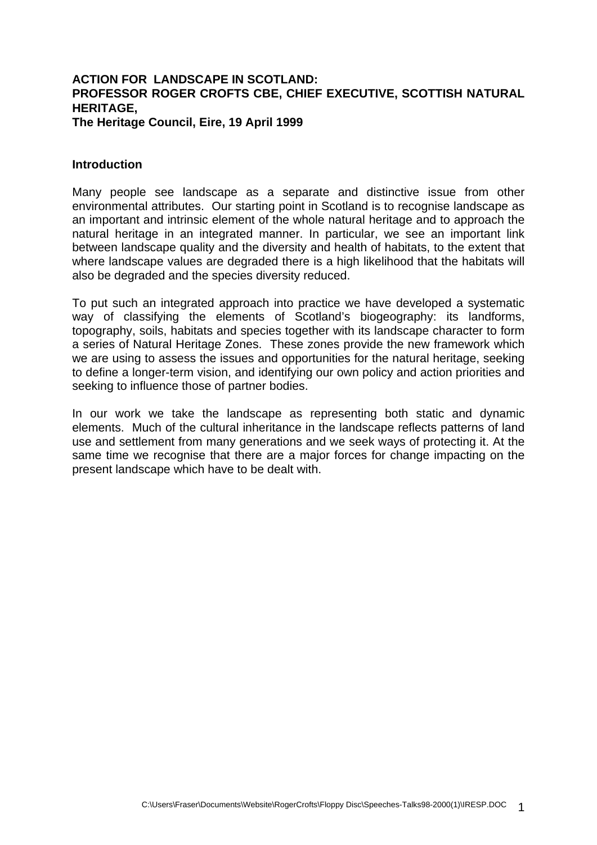### **ACTION FOR LANDSCAPE IN SCOTLAND: PROFESSOR ROGER CROFTS CBE, CHIEF EXECUTIVE, SCOTTISH NATURAL HERITAGE, The Heritage Council, Eire, 19 April 1999**

#### **Introduction**

Many people see landscape as a separate and distinctive issue from other environmental attributes. Our starting point in Scotland is to recognise landscape as an important and intrinsic element of the whole natural heritage and to approach the natural heritage in an integrated manner. In particular, we see an important link between landscape quality and the diversity and health of habitats, to the extent that where landscape values are degraded there is a high likelihood that the habitats will also be degraded and the species diversity reduced.

To put such an integrated approach into practice we have developed a systematic way of classifying the elements of Scotland's biogeography: its landforms, topography, soils, habitats and species together with its landscape character to form a series of Natural Heritage Zones. These zones provide the new framework which we are using to assess the issues and opportunities for the natural heritage, seeking to define a longer-term vision, and identifying our own policy and action priorities and seeking to influence those of partner bodies.

In our work we take the landscape as representing both static and dynamic elements. Much of the cultural inheritance in the landscape reflects patterns of land use and settlement from many generations and we seek ways of protecting it. At the same time we recognise that there are a major forces for change impacting on the present landscape which have to be dealt with.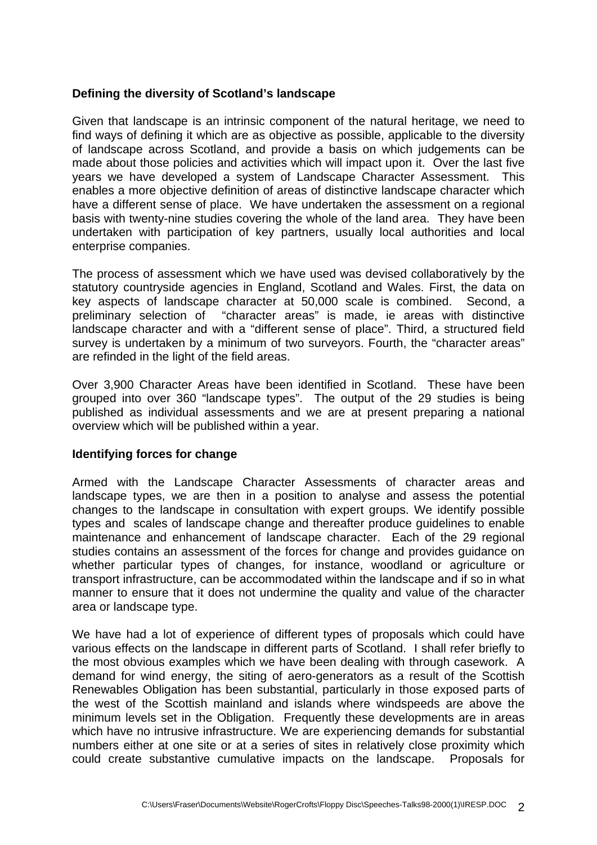# **Defining the diversity of Scotland's landscape**

Given that landscape is an intrinsic component of the natural heritage, we need to find ways of defining it which are as objective as possible, applicable to the diversity of landscape across Scotland, and provide a basis on which judgements can be made about those policies and activities which will impact upon it. Over the last five years we have developed a system of Landscape Character Assessment. This enables a more objective definition of areas of distinctive landscape character which have a different sense of place. We have undertaken the assessment on a regional basis with twenty-nine studies covering the whole of the land area. They have been undertaken with participation of key partners, usually local authorities and local enterprise companies.

The process of assessment which we have used was devised collaboratively by the statutory countryside agencies in England, Scotland and Wales. First, the data on key aspects of landscape character at 50,000 scale is combined. Second, a preliminary selection of "character areas" is made, ie areas with distinctive landscape character and with a "different sense of place". Third, a structured field survey is undertaken by a minimum of two surveyors. Fourth, the "character areas" are refinded in the light of the field areas.

Over 3,900 Character Areas have been identified in Scotland. These have been grouped into over 360 "landscape types". The output of the 29 studies is being published as individual assessments and we are at present preparing a national overview which will be published within a year.

# **Identifying forces for change**

Armed with the Landscape Character Assessments of character areas and landscape types, we are then in a position to analyse and assess the potential changes to the landscape in consultation with expert groups. We identify possible types and scales of landscape change and thereafter produce guidelines to enable maintenance and enhancement of landscape character. Each of the 29 regional studies contains an assessment of the forces for change and provides guidance on whether particular types of changes, for instance, woodland or agriculture or transport infrastructure, can be accommodated within the landscape and if so in what manner to ensure that it does not undermine the quality and value of the character area or landscape type.

We have had a lot of experience of different types of proposals which could have various effects on the landscape in different parts of Scotland. I shall refer briefly to the most obvious examples which we have been dealing with through casework. A demand for wind energy, the siting of aero-generators as a result of the Scottish Renewables Obligation has been substantial, particularly in those exposed parts of the west of the Scottish mainland and islands where windspeeds are above the minimum levels set in the Obligation. Frequently these developments are in areas which have no intrusive infrastructure. We are experiencing demands for substantial numbers either at one site or at a series of sites in relatively close proximity which could create substantive cumulative impacts on the landscape. Proposals for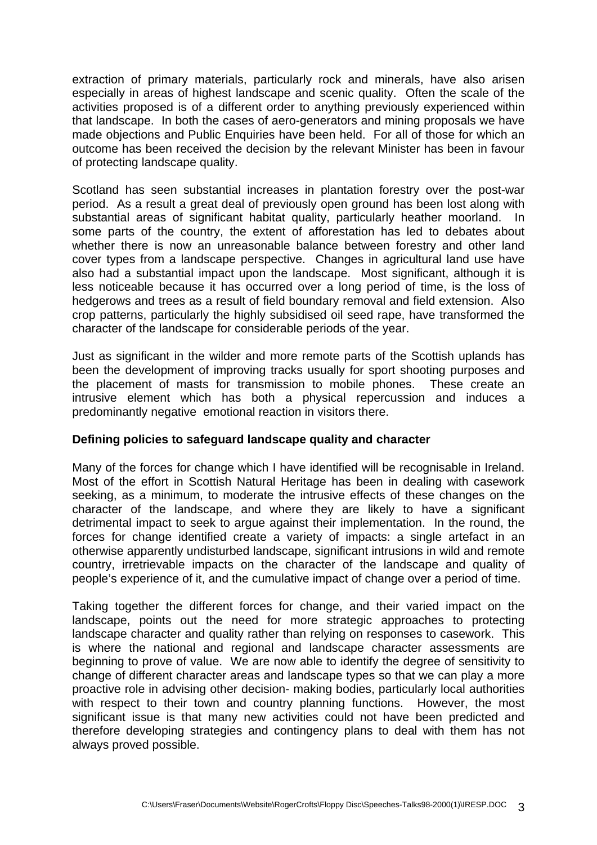extraction of primary materials, particularly rock and minerals, have also arisen especially in areas of highest landscape and scenic quality. Often the scale of the activities proposed is of a different order to anything previously experienced within that landscape. In both the cases of aero-generators and mining proposals we have made objections and Public Enquiries have been held. For all of those for which an outcome has been received the decision by the relevant Minister has been in favour of protecting landscape quality.

Scotland has seen substantial increases in plantation forestry over the post-war period. As a result a great deal of previously open ground has been lost along with substantial areas of significant habitat quality, particularly heather moorland. In some parts of the country, the extent of afforestation has led to debates about whether there is now an unreasonable balance between forestry and other land cover types from a landscape perspective. Changes in agricultural land use have also had a substantial impact upon the landscape. Most significant, although it is less noticeable because it has occurred over a long period of time, is the loss of hedgerows and trees as a result of field boundary removal and field extension. Also crop patterns, particularly the highly subsidised oil seed rape, have transformed the character of the landscape for considerable periods of the year.

Just as significant in the wilder and more remote parts of the Scottish uplands has been the development of improving tracks usually for sport shooting purposes and the placement of masts for transmission to mobile phones. These create an intrusive element which has both a physical repercussion and induces a predominantly negative emotional reaction in visitors there.

# **Defining policies to safeguard landscape quality and character**

Many of the forces for change which I have identified will be recognisable in Ireland. Most of the effort in Scottish Natural Heritage has been in dealing with casework seeking, as a minimum, to moderate the intrusive effects of these changes on the character of the landscape, and where they are likely to have a significant detrimental impact to seek to argue against their implementation. In the round, the forces for change identified create a variety of impacts: a single artefact in an otherwise apparently undisturbed landscape, significant intrusions in wild and remote country, irretrievable impacts on the character of the landscape and quality of people's experience of it, and the cumulative impact of change over a period of time.

Taking together the different forces for change, and their varied impact on the landscape, points out the need for more strategic approaches to protecting landscape character and quality rather than relying on responses to casework. This is where the national and regional and landscape character assessments are beginning to prove of value. We are now able to identify the degree of sensitivity to change of different character areas and landscape types so that we can play a more proactive role in advising other decision- making bodies, particularly local authorities with respect to their town and country planning functions. However, the most significant issue is that many new activities could not have been predicted and therefore developing strategies and contingency plans to deal with them has not always proved possible.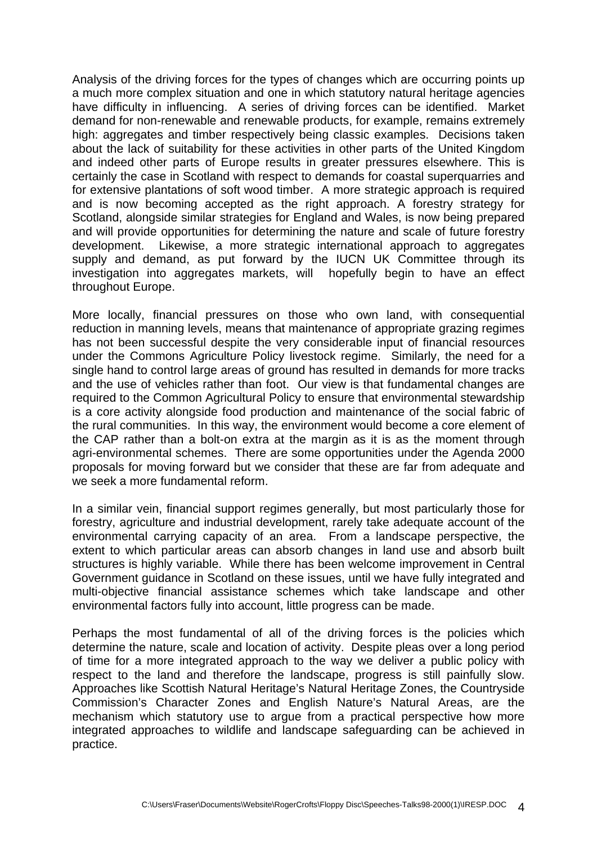Analysis of the driving forces for the types of changes which are occurring points up a much more complex situation and one in which statutory natural heritage agencies have difficulty in influencing. A series of driving forces can be identified. Market demand for non-renewable and renewable products, for example, remains extremely high: aggregates and timber respectively being classic examples. Decisions taken about the lack of suitability for these activities in other parts of the United Kingdom and indeed other parts of Europe results in greater pressures elsewhere. This is certainly the case in Scotland with respect to demands for coastal superquarries and for extensive plantations of soft wood timber. A more strategic approach is required and is now becoming accepted as the right approach. A forestry strategy for Scotland, alongside similar strategies for England and Wales, is now being prepared and will provide opportunities for determining the nature and scale of future forestry development. Likewise, a more strategic international approach to aggregates supply and demand, as put forward by the IUCN UK Committee through its investigation into aggregates markets, will hopefully begin to have an effect throughout Europe.

More locally, financial pressures on those who own land, with consequential reduction in manning levels, means that maintenance of appropriate grazing regimes has not been successful despite the very considerable input of financial resources under the Commons Agriculture Policy livestock regime. Similarly, the need for a single hand to control large areas of ground has resulted in demands for more tracks and the use of vehicles rather than foot. Our view is that fundamental changes are required to the Common Agricultural Policy to ensure that environmental stewardship is a core activity alongside food production and maintenance of the social fabric of the rural communities. In this way, the environment would become a core element of the CAP rather than a bolt-on extra at the margin as it is as the moment through agri-environmental schemes. There are some opportunities under the Agenda 2000 proposals for moving forward but we consider that these are far from adequate and we seek a more fundamental reform.

In a similar vein, financial support regimes generally, but most particularly those for forestry, agriculture and industrial development, rarely take adequate account of the environmental carrying capacity of an area. From a landscape perspective, the extent to which particular areas can absorb changes in land use and absorb built structures is highly variable. While there has been welcome improvement in Central Government guidance in Scotland on these issues, until we have fully integrated and multi-objective financial assistance schemes which take landscape and other environmental factors fully into account, little progress can be made.

Perhaps the most fundamental of all of the driving forces is the policies which determine the nature, scale and location of activity. Despite pleas over a long period of time for a more integrated approach to the way we deliver a public policy with respect to the land and therefore the landscape, progress is still painfully slow. Approaches like Scottish Natural Heritage's Natural Heritage Zones, the Countryside Commission's Character Zones and English Nature's Natural Areas, are the mechanism which statutory use to argue from a practical perspective how more integrated approaches to wildlife and landscape safeguarding can be achieved in practice.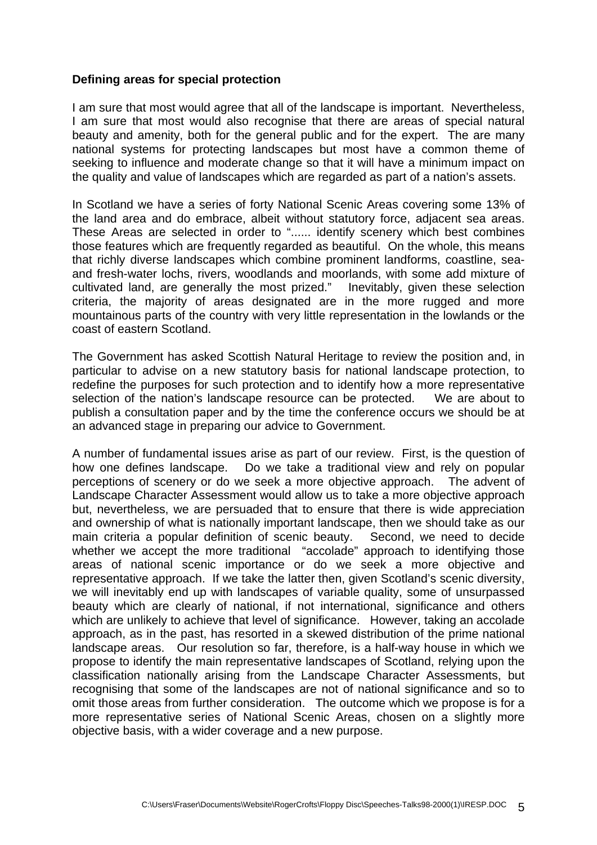### **Defining areas for special protection**

I am sure that most would agree that all of the landscape is important. Nevertheless, I am sure that most would also recognise that there are areas of special natural beauty and amenity, both for the general public and for the expert. The are many national systems for protecting landscapes but most have a common theme of seeking to influence and moderate change so that it will have a minimum impact on the quality and value of landscapes which are regarded as part of a nation's assets.

In Scotland we have a series of forty National Scenic Areas covering some 13% of the land area and do embrace, albeit without statutory force, adjacent sea areas. These Areas are selected in order to "...... identify scenery which best combines those features which are frequently regarded as beautiful. On the whole, this means that richly diverse landscapes which combine prominent landforms, coastline, seaand fresh-water lochs, rivers, woodlands and moorlands, with some add mixture of cultivated land, are generally the most prized." Inevitably, given these selection criteria, the majority of areas designated are in the more rugged and more mountainous parts of the country with very little representation in the lowlands or the coast of eastern Scotland.

The Government has asked Scottish Natural Heritage to review the position and, in particular to advise on a new statutory basis for national landscape protection, to redefine the purposes for such protection and to identify how a more representative selection of the nation's landscape resource can be protected. We are about to publish a consultation paper and by the time the conference occurs we should be at an advanced stage in preparing our advice to Government.

A number of fundamental issues arise as part of our review. First, is the question of how one defines landscape. Do we take a traditional view and rely on popular perceptions of scenery or do we seek a more objective approach. The advent of Landscape Character Assessment would allow us to take a more objective approach but, nevertheless, we are persuaded that to ensure that there is wide appreciation and ownership of what is nationally important landscape, then we should take as our main criteria a popular definition of scenic beauty. Second, we need to decide whether we accept the more traditional "accolade" approach to identifying those areas of national scenic importance or do we seek a more objective and representative approach. If we take the latter then, given Scotland's scenic diversity, we will inevitably end up with landscapes of variable quality, some of unsurpassed beauty which are clearly of national, if not international, significance and others which are unlikely to achieve that level of significance. However, taking an accolade approach, as in the past, has resorted in a skewed distribution of the prime national landscape areas. Our resolution so far, therefore, is a half-way house in which we propose to identify the main representative landscapes of Scotland, relying upon the classification nationally arising from the Landscape Character Assessments, but recognising that some of the landscapes are not of national significance and so to omit those areas from further consideration. The outcome which we propose is for a more representative series of National Scenic Areas, chosen on a slightly more objective basis, with a wider coverage and a new purpose.